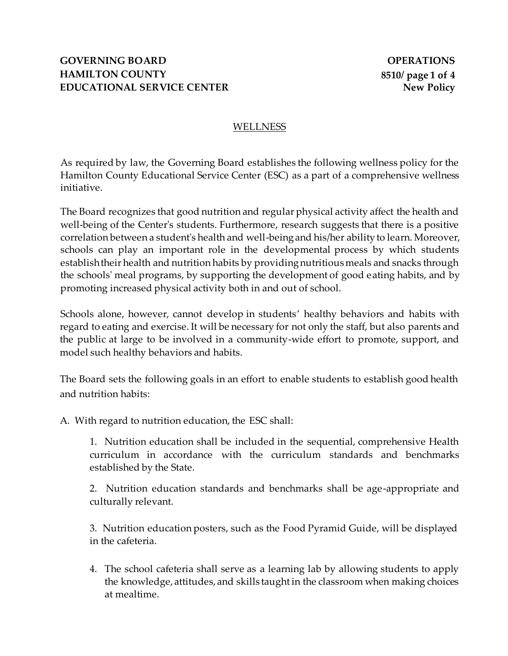### WELLNESS

As required by law, the Governing Board establishes the following wellness policy for the Hamilton County Educational Service Center (ESC) as a part of a comprehensive wellness initiative.

The Board recognizes that good nutrition and regular physical activity affect the health and well-being of the Center's students. Furthermore, research suggests that there is a positive correlation between a student's health and well-being and his/her ability to learn. Moreover, schools can play an important role in the developmental process by which students establish their health and nutrition habits by providing nutritious meals and snacks through the schools' meal programs, by supporting the development of good eating habits, and by promoting increased physical activity both in and out of school.

Schools alone, however, cannot develop in students' healthy behaviors and habits with regard to eating and exercise. It will be necessary for not only the staff, but also parents and the public at large to be involved in a community-wide effort to promote, support, and model such healthy behaviors and habits.

The Board sets the following goals in an effort to enable students to establish good health and nutrition habits:

A. With regard to nutrition education, the ESC shall:

1. Nutrition education shall be included in the sequential, comprehensive Health curriculum in accordance with the curriculum standards and benchmarks established by the State.

2. Nutrition education standards and benchmarks shall be age-appropriate and culturally relevant.

3. Nutrition education posters, such as the Food Pyramid Guide, will be displayed in the cafeteria.

4. The school cafeteria shall serve as a learning lab by allowing students to apply the knowledge, attitudes, and skills taught in the classroom when making choices at mealtime.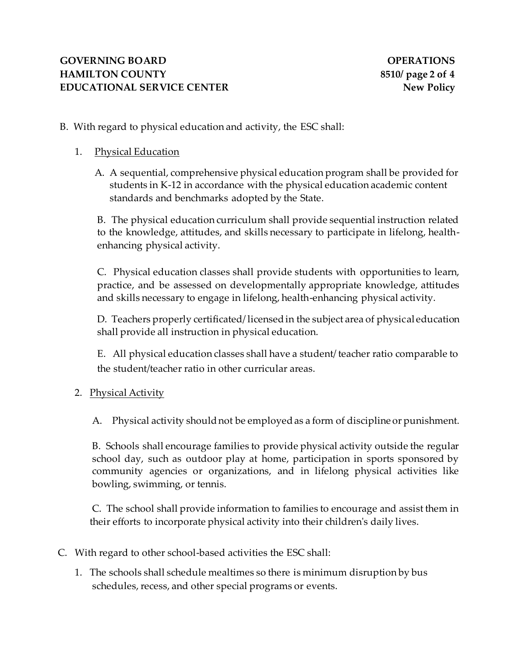- B. With regard to physical education and activity, the ESC shall:
	- 1. Physical Education
		- A. A sequential, comprehensive physical education program shall be provided for students in K-12 in accordance with the physical education academic content standards and benchmarks adopted by the State.

B. The physical education curriculum shall provide sequential instruction related to the knowledge, attitudes, and skills necessary to participate in lifelong, healthenhancing physical activity.

C. Physical education classes shall provide students with opportunities to learn, practice, and be assessed on developmentally appropriate knowledge, attitudes and skills necessary to engage in lifelong, health-enhancing physical activity.

D. Teachers properly certificated/ licensed in the subject area of physical education shall provide all instruction in physical education.

E. All physical education classes shall have a student/ teacher ratio comparable to the student/teacher ratio in other curricular areas.

2. Physical Activity

A. Physical activity should not be employed as a form of discipline or punishment.

B. Schools shall encourage families to provide physical activity outside the regular school day, such as outdoor play at home, participation in sports sponsored by community agencies or organizations, and in lifelong physical activities like bowling, swimming, or tennis.

C. The school shall provide information to families to encourage and assist them in their efforts to incorporate physical activity into their children's daily lives.

- C. With regard to other school-based activities the ESC shall:
	- 1. The schools shall schedule mealtimes so there is minimum disruption by bus schedules, recess, and other special programs or events.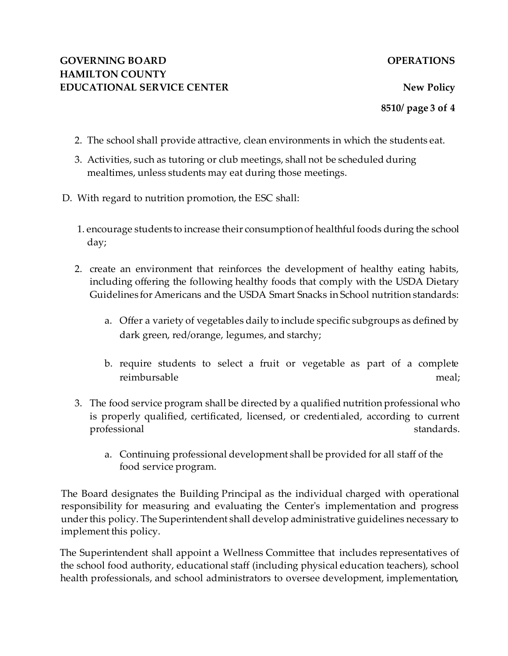**8510/ page 3 of 4**

- 2. The school shall provide attractive, clean environments in which the students eat.
- 3. Activities, such as tutoring or club meetings, shall not be scheduled during mealtimes, unless students may eat during those meetings.
- D. With regard to nutrition promotion, the ESC shall:
	- 1. encourage students to increase their consumption of healthful foods during the school day;
	- 2. create an environment that reinforces the development of healthy eating habits, including offering the following healthy foods that comply with the USDA Dietary Guidelines for Americans and the USDA Smart Snacks in School nutrition standards:
		- a. Offer a variety of vegetables daily to include specific subgroups as defined by dark green, red/orange, legumes, and starchy;
		- b. require students to select a fruit or vegetable as part of a complete reimbursable meal;
	- 3. The food service program shall be directed by a qualified nutrition professional who is properly qualified, certificated, licensed, or credentialed, according to current professional standards.
		- a. Continuing professional development shall be provided for all staff of the food service program.

The Board designates the Building Principal as the individual charged with operational responsibility for measuring and evaluating the Center's implementation and progress under this policy. The Superintendent shall develop administrative guidelines necessary to implement this policy.

The Superintendent shall appoint a Wellness Committee that includes representatives of the school food authority, educational staff (including physical education teachers), school health professionals, and school administrators to oversee development, implementation,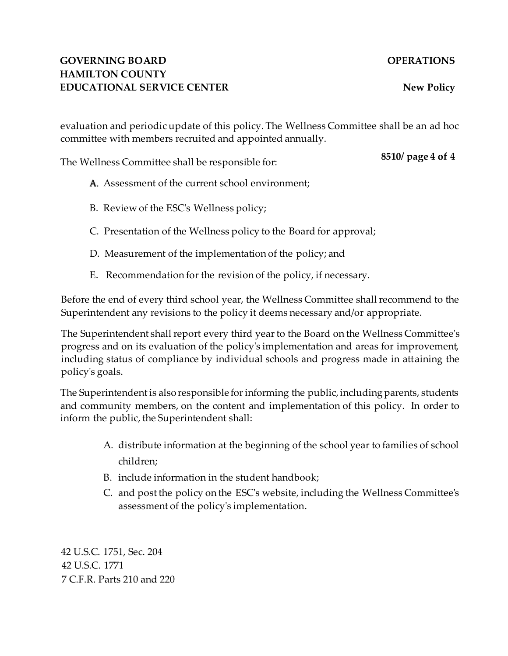## **GOVERNING BOARD OPERATIONS HAMILTON COUNTY EDUCATIONAL SERVICE CENTER New Policy**

evaluation and periodic update of this policy. The Wellness Committee shall be an ad hoc committee with members recruited and appointed annually.

The Wellness Committee shall be responsible for:

### **8510/ page 4 of 4**

- A. Assessment of the current school environment:
- B. Review of the ESC's Wellness policy;
- C. Presentation of the Wellness policy to the Board for approval;
- D. Measurement of the implementation of the policy; and
- E. Recommendation for the revision of the policy, if necessary.

Before the end of every third school year, the Wellness Committee shall recommend to the Superintendent any revisions to the policy it deems necessary and/or appropriate.

The Superintendent shall report every third year to the Board on the Wellness Committee's progress and on its evaluation of the policy's implementation and areas for improvement, including status of compliance by individual schools and progress made in attaining the policy's goals.

The Superintendent is also responsible for informing the public, including parents, students and community members, on the content and implementation of this policy. In order to inform the public, the Superintendent shall:

- A. distribute information at the beginning of the school year to families of school children;
- B. include information in the student handbook;
- C. and post the policy on the ESC's website, including the Wellness Committee's assessment of the policy's implementation.

42 U.S.C. 1751, Sec. 204 42 U.S.C. 1771 7 C.F.R. Parts 210 and 220